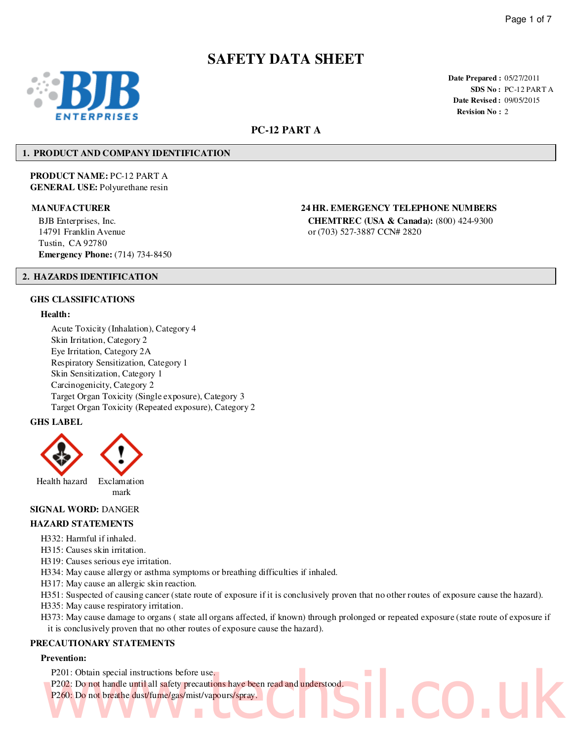# **SAFETY DATA SHEET**



**Date Prepared :** 05/27/2011 **SDS No :** PC-12 PART A **Date Revised :** 09/05/2015 **Revision No :** 2

### **PC-12 PART A**

#### **1. PRODUCT AND COMPANY IDENTIFICATION**

**PRODUCT NAME:** PC-12 PART A **GENERAL USE:** Polyurethane resin

BJB Enterprises, Inc. 14791 Franklin Avenue Tustin, CA 92780 **Emergency Phone:** (714) 734-8450

### **MANUFACTURER 24 HR. EMERGENCY TELEPHONE NUMBERS**

**CHEMTREC (USA & Canada):** (800) 424-9300 or (703) 527-3887 CCN# 2820

#### **2. HAZARDS IDENTIFICATION**

#### **GHS CLASSIFICATIONS**

#### **Health:**

Acute Toxicity (Inhalation), Category 4 Skin Irritation, Category 2 Eye Irritation, Category 2A Respiratory Sensitization, Category 1 Skin Sensitization, Category 1 Carcinogenicity, Category 2 Target Organ Toxicity (Single exposure), Category 3 Target Organ Toxicity (Repeated exposure), Category 2

#### **GHS LABEL**



#### **SIGNAL WORD:** DANGER

#### **HAZARD STATEMENTS**

- H332: Harmful if inhaled.
- H315: Causes skin irritation.
- H319: Causes serious eye irritation.
- H334: May cause allergy or asthma symptoms or breathing difficulties if inhaled.
- H317: May cause an allergic skin reaction.
- H351: Suspected of causing cancer (state route of exposure if it is conclusively proven that no other routes of exposure cause the hazard).
- H335: May cause respiratory irritation.
- H373: May cause damage to organs ( state all organs affected, if known) through prolonged or repeated exposure (state route of exposure if it is conclusively proven that no other routes of exposure cause the hazard).

#### **PRECAUTIONARY STATEMENTS**

#### **Prevention:**

- P201: Obtain special instructions before use.
- P202: Do not handle until all safety precautions have been read and understood. P260: Do not breathe dust/fume/gas/mist/vapours/spray. P201: Obtain special instructions before use.<br>P202: Do not handle until all safety precautions have been read and understood.<br>P260: Do not breathe dust/fume/gas/mist/vapours/spray.
	-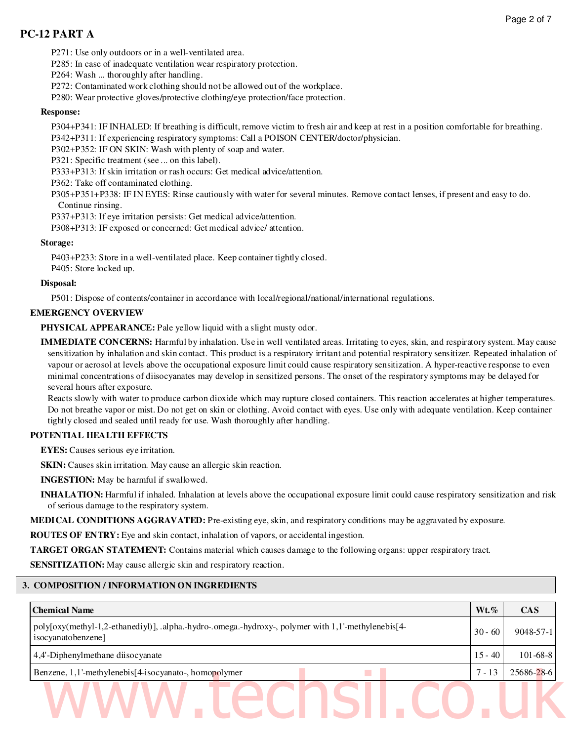P271: Use only outdoors or in a well-ventilated area.

P285: In case of inadequate ventilation wear respiratory protection.

P264: Wash ... thoroughly after handling.

P272: Contaminated work clothing should not be allowed out of the workplace.

P280: Wear protective gloves/protective clothing/eye protection/face protection.

#### **Response:**

P304+P341: IF INHALED: If breathing is difficult, remove victim to fresh air and keep at rest in a position comfortable for breathing. P342+P311: If experiencing respiratory symptoms: Call a POISON CENTER/doctor/physician.

P302+P352: IF ON SKIN: Wash with plenty of soap and water.

P321: Specific treatment (see ... on this label).

P333+P313: If skin irritation or rash occurs: Get medical advice/attention.

P362: Take off contaminated clothing.

P305+P351+P338: IF IN EYES: Rinse cautiously with water for several minutes. Remove contact lenses, if present and easy to do. Continue rinsing.

P337+P313: If eye irritation persists: Get medical advice/attention.

P308+P313: IF exposed or concerned: Get medical advice/ attention.

#### **Storage:**

P403+P233: Store in a well-ventilated place. Keep container tightly closed.

P405: Store locked up.

#### **Disposal:**

P501: Dispose of contents/container in accordance with local/regional/national/international regulations.

#### **EMERGENCY OVERVIEW**

PHYSICAL APPEARANCE: Pale yellow liquid with a slight musty odor.

**IMMEDIATE CONCERNS:** Harmful by inhalation. Use in well ventilated areas. Irritating to eyes, skin, and respiratory system. May cause sensitization by inhalation and skin contact. This product is a respiratory irritant and potential respiratory sensitizer. Repeated inhalation of vapour or aerosol at levels above the occupational exposure limit could cause respiratory sensitization. A hyper-reactive response to even minimal concentrations of diisocyanates may develop in sensitized persons. The onset of the respiratory symptoms may be delayed for several hours after exposure.

Reacts slowly with water to produce carbon dioxide which may rupture closed containers. This reaction accelerates at higher temperatures. Do not breathe vapor or mist. Do not get on skin or clothing. Avoid contact with eyes. Use only with adequate ventilation. Keep container tightly closed and sealed until ready for use. Wash thoroughly after handling.

#### **POTENTIAL HEALTH EFFECTS**

**EYES:** Causes serious eye irritation.

**SKIN:** Causes skin irritation. May cause an allergic skin reaction.

**INGESTION:** May be harmful if swallowed.

**INHALATION:** Harmful if inhaled. Inhalation at levels above the occupational exposure limit could cause respiratory sensitization and risk of serious damage to the respiratory system.

**MEDICAL CONDITIONS AGGRAVATED:** Pre-existing eye, skin, and respiratory conditions may be aggravated by exposure.

**ROUTES OF ENTRY:** Eye and skin contact, inhalation of vapors, or accidental ingestion.

**TARGET ORGAN STATEMENT:** Contains material which causes damage to the following organs: upper respiratory tract.

**SENSITIZATION:** May cause allergic skin and respiratory reaction.

#### **3. COMPOSITION / INFORMATION ON INGREDIENTS**

| <b>Chemical Name</b>                                                                                                      | $Wt.\%$   | <b>CAS</b>     |
|---------------------------------------------------------------------------------------------------------------------------|-----------|----------------|
| poly[oxy(methyl-1,2-ethanediyl)], .alpha.-hydro-.omega.-hydroxy-, polymer with 1,1'-methylenebis[4-<br>isocyanatobenzene] | $30 - 60$ | 9048-57-1      |
| 4,4'-Diphenylmethane diisocyanate                                                                                         | $15 - 40$ | $101 - 68 - 8$ |
| Benzene, 1,1'-methylenebis[4-isocyanato-, homopolymer                                                                     | ' - 13    | 25686-28-6     |
|                                                                                                                           |           |                |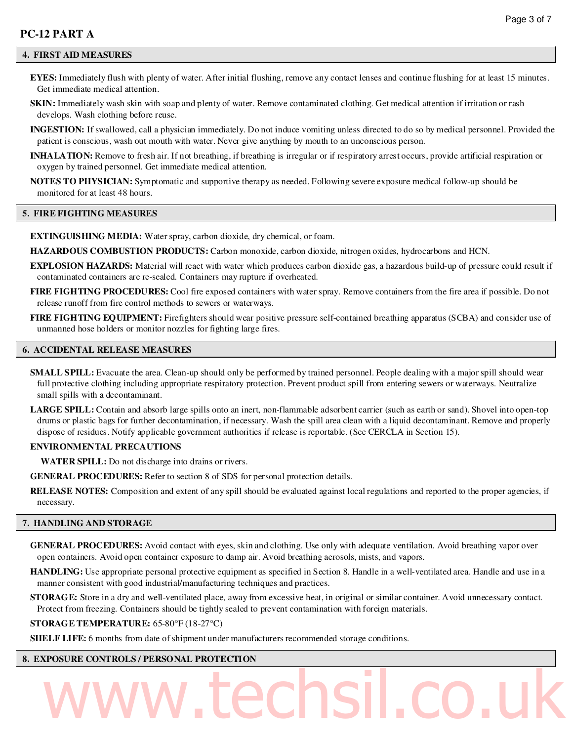**EYES:** Immediately flush with plenty of water. After initial flushing, remove any contact lenses and continue flushing for at least 15 minutes. Get immediate medical attention.

- **SKIN:** Immediately wash skin with soap and plenty of water. Remove contaminated clothing. Get medical attention if irritation or rash develops. Wash clothing before reuse.
- **INGESTION:** If swallowed, call a physician immediately. Do not induce vomiting unless directed to do so by medical personnel. Provided the patient is conscious, wash out mouth with water. Never give anything by mouth to an unconscious person.
- **INHALATION:** Remove to fresh air. If not breathing, if breathing is irregular or if respiratory arrest occurs, provide artificial respiration or oxygen by trained personnel. Get immediate medical attention.

**NOTES TO PHYSICIAN:** Symptomatic and supportive therapy as needed. Following severe exposure medical follow-up should be monitored for at least 48 hours.

#### **5. FIRE FIGHTING MEASURES**

**EXTINGUISHING MEDIA:** Water spray, carbon dioxide, dry chemical, or foam.

**HAZARDOUS COMBUSTION PRODUCTS:** Carbon monoxide, carbon dioxide, nitrogen oxides, hydrocarbons and HCN.

- **EXPLOSION HAZARDS:** Material will react with water which produces carbon dioxide gas, a hazardous build-up of pressure could result if contaminated containers are re-sealed. Containers may rupture if overheated.
- **FIRE FIGHTING PROCEDURES:** Cool fire exposed containers with water spray. Remove containers from the fire area if possible. Do not release runoff from fire control methods to sewers or waterways.
- **FIRE FIGHTING EQUIPMENT:** Firefighters should wear positive pressure self-contained breathing apparatus (SCBA) and consider use of unmanned hose holders or monitor nozzles for fighting large fires.

#### **6. ACCIDENTAL RELEASE MEASURES**

- **SMALL SPILL:** Evacuate the area. Clean-up should only be performed by trained personnel. People dealing with a major spill should wear full protective clothing including appropriate respiratory protection. Prevent product spill from entering sewers or waterways. Neutralize small spills with a decontaminant.
- **LARGE SPILL:** Contain and absorb large spills onto an inert, non-flammable adsorbent carrier (such as earth or sand). Shovel into open-top drums or plastic bags for further decontamination, if necessary. Wash the spill area clean with a liquid decontaminant. Remove and properly dispose of residues. Notify applicable government authorities if release is reportable. (See CERCLA in Section 15).

#### **ENVIRONMENTAL PRECAUTIONS**

**WATER SPILL:** Do not discharge into drains or rivers.

**GENERAL PROCEDURES:** Refer to section 8 of SDS for personal protection details.

**RELEASE NOTES:** Composition and extent of any spill should be evaluated against local regulations and reported to the proper agencies, if necessary.

#### **7. HANDLING AND STORAGE**

**GENERAL PROCEDURES:** Avoid contact with eyes, skin and clothing. Use only with adequate ventilation. Avoid breathing vapor over open containers. Avoid open container exposure to damp air. Avoid breathing aerosols, mists, and vapors.

**HANDLING:** Use appropriate personal protective equipment as specified in Section 8. Handle in a well-ventilated area. Handle and use in a manner consistent with good industrial/manufacturing techniques and practices.

**STORAGE:** Store in a dry and well-ventilated place, away from excessive heat, in original or similar container. Avoid unnecessary contact. Protect from freezing. Containers should be tightly sealed to prevent contamination with foreign materials.

www.techsil.co.uk

#### **STORAGE TEMPERATURE:** 65-80°F (18-27°C)

**SHELF LIFE:** 6 months from date of shipment under manufacturers recommended storage conditions.

#### **8. EXPOSURE CONTROLS / PERSONAL PROTECTION**

# Page 3 of 7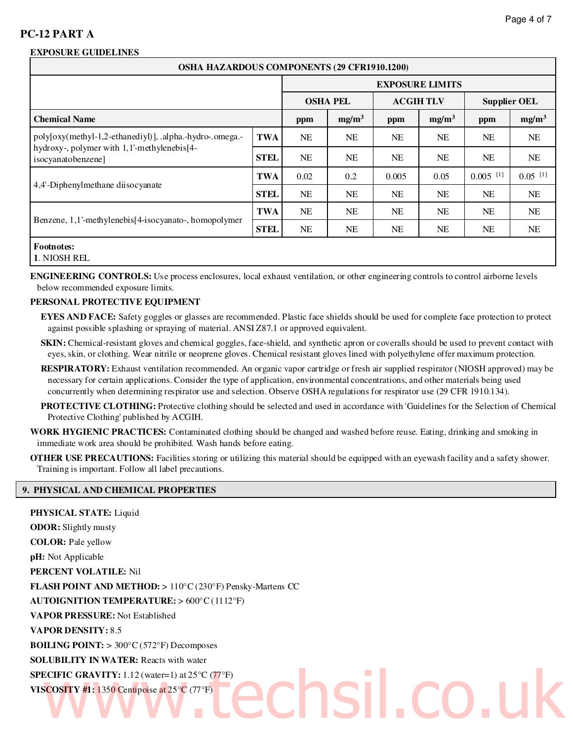### **EXPOSURE GUIDELINES**

| <b>OSHA HAZARDOUS COMPONENTS (29 CFR1910.1200)</b>                                                                                           |             |                                                      |           |                 |           |                        |                       |  |  |
|----------------------------------------------------------------------------------------------------------------------------------------------|-------------|------------------------------------------------------|-----------|-----------------|-----------|------------------------|-----------------------|--|--|
| <b>EXPOSURE LIMITS</b>                                                                                                                       |             |                                                      |           |                 |           |                        |                       |  |  |
|                                                                                                                                              |             | <b>OSHA PEL</b>                                      |           | <b>ACGIHTLV</b> |           | <b>Supplier OEL</b>    |                       |  |  |
| <b>Chemical Name</b>                                                                                                                         |             | mg/m <sup>3</sup><br>mg/m <sup>3</sup><br>ppm<br>ppm |           |                 |           | ppm                    | mg/m <sup>3</sup>     |  |  |
| poly[oxy(methyl-1,2-ethanediyl)], .alpha.-hydro-.omega.-<br>hydroxy-, polymer with 1,1'-methylenebis <sup>[4-1</sup> ]<br>isocyanatobenzene] | <b>TWA</b>  | NE.                                                  | <b>NE</b> | <b>NE</b>       | <b>NE</b> | NE.                    | <b>NE</b>             |  |  |
|                                                                                                                                              | <b>STEL</b> | <b>NE</b>                                            | <b>NE</b> | NE              | <b>NE</b> | NE.                    | NE                    |  |  |
| 4,4'-Diphenylmethane diisocyanate                                                                                                            | <b>TWA</b>  | 0.02                                                 | 0.2       | 0.005           | 0.05      | $0.005$ <sup>[1]</sup> | $0.05$ <sup>[1]</sup> |  |  |
|                                                                                                                                              | <b>STEL</b> | <b>NE</b>                                            | <b>NE</b> | <b>NE</b>       | <b>NE</b> | NE.                    | NE                    |  |  |
| Benzene, 1,1'-methylenebis[4-isocyanato-, homopolymer                                                                                        | TWA         | NE                                                   | <b>NE</b> | NE              | <b>NE</b> | NE.                    | NE                    |  |  |
|                                                                                                                                              | <b>STEL</b> | NE                                                   | <b>NE</b> | NE              | NE        | NE                     | NE                    |  |  |
| <b>Footnotes:</b><br>1. NIOSH REL                                                                                                            |             |                                                      |           |                 |           |                        |                       |  |  |

**ENGINEERING CONTROLS:** Use process enclosures, local exhaust ventilation, or other engineering controls to control airborne levels below recommended exposure limits.

### **PERSONAL PROTECTIVE EQUIPMENT**

**EYES AND FACE:** Safety goggles or glasses are recommended. Plastic face shields should be used for complete face protection to protect against possible splashing or spraying of material. ANSI Z87.1 or approved equivalent.

**SKIN:** Chemical-resistant gloves and chemical goggles, face-shield, and synthetic apron or coveralls should be used to prevent contact with eyes, skin, or clothing. Wear nitrile or neoprene gloves. Chemical resistant gloves lined with polyethylene offer maximum protection.

- **RESPIRATORY:** Exhaust ventilation recommended. An organic vapor cartridge or fresh air supplied respirator (NIOSH approved) may be necessary for certain applications. Consider the type of application, environmental concentrations, and other materials being used concurrently when determining respirator use and selection. Observe OSHA regulations for respirator use (29 CFR 1910.134).
- **PROTECTIVE CLOTHING:** Protective clothing should be selected and used in accordance with 'Guidelines for the Selection of Chemical Protective Clothing' published by ACGIH.
- **WORK HYGIENIC PRACTICES:** Contaminated clothing should be changed and washed before reuse. Eating, drinking and smoking in immediate work area should be prohibited. Wash hands before eating.
- **OTHER USE PRECAUTIONS:** Facilities storing or utilizing this material should be equipped with an eyewash facility and a safety shower. Training is important. Follow all label precautions.

#### **9. PHYSICAL AND CHEMICAL PROPERTIES**

| PHYSICAL STATE: Liquid                                                                 |
|----------------------------------------------------------------------------------------|
| <b>ODOR:</b> Slightly musty                                                            |
| <b>COLOR:</b> Pale yellow                                                              |
| <b>pH:</b> Not Applicable                                                              |
| <b>PERCENT VOLATILE: Nil</b>                                                           |
| <b>FLASH POINT AND METHOD:</b> > 110 $^{\circ}$ C (230 $^{\circ}$ F) Pensky-Martens CC |
| <b>AUTOIGNITION TEMPERATURE: &gt; <math>600^{\circ}</math>C(1112°F)</b>                |
| VAPOR PRESSURE: Not Established                                                        |
| <b>VAPOR DENSITY: 8.5</b>                                                              |
| <b>BOILING POINT:</b> > 300 $\degree$ C (572 $\degree$ F) Decomposes                   |
| <b>SOLUBILITY IN WATER:</b> Reacts with water                                          |
| <b>SPECIFIC GRAVITY:</b> 1.12 (water=1) at $25^{\circ}$ C (77 <sup>o</sup> F)          |
| VISCOSITY #1: 1350 Centipoise at $25^{\circ}C$ (77 $^{\circ}F$ )                       |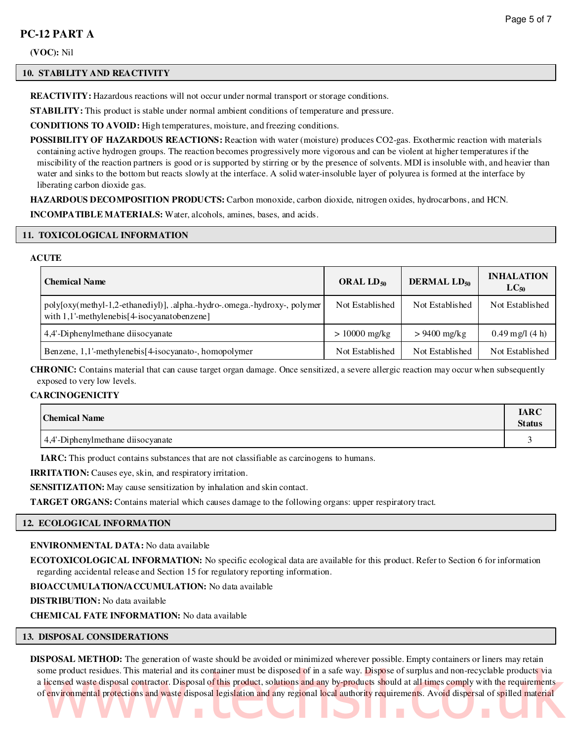**(VOC):** Nil

#### **10. STABILITY AND REACTIVITY**

**REACTIVITY:** Hazardous reactions will not occur under normal transport or storage conditions.

**STABILITY:** This product is stable under normal ambient conditions of temperature and pressure.

**CONDITIONS TO AVOID:** High temperatures, moisture, and freezing conditions.

**POSSIBILITY OF HAZARDOUS REACTIONS:** Reaction with water (moisture) produces CO2-gas. Exothermic reaction with materials containing active hydrogen groups. The reaction becomes progressively more vigorous and can be violent at higher temperatures if the miscibility of the reaction partners is good or is supported by stirring or by the presence of solvents. MDI is insoluble with, and heavier than water and sinks to the bottom but reacts slowly at the interface. A solid water-insoluble layer of polyurea is formed at the interface by liberating carbon dioxide gas.

**HAZARDOUS DECOMPOSITION PRODUCTS:** Carbon monoxide, carbon dioxide, nitrogen oxides, hydrocarbons, and HCN.

**INCOMPATIBLE MATERIALS:** Water, alcohols, amines, bases, and acids.

#### **11. TOXICOLOGICAL INFORMATION**

#### **ACUTE**

| <b>Chemical Name</b>                                                                                                        | ORAL $LD_{50}$  | <b>DERMAL LD<sub>50</sub></b> | <b>INHALATION</b><br>$LC_{50}$        |
|-----------------------------------------------------------------------------------------------------------------------------|-----------------|-------------------------------|---------------------------------------|
| poly[oxy(methyl-1,2-ethanediyl)], .alpha.-hydro-.omega.-hydroxy-, polymer<br>with $1,1'$ -methylenebis[4-isocyanatobenzene] | Not Established | Not Established               | Not Established                       |
| 4,4'-Diphenylmethane disocyanate                                                                                            | $> 10000$ mg/kg | $> 9400$ mg/kg                | $0.49 \,\mathrm{mg}/(4 \,\mathrm{h})$ |
| Benzene, 1,1'-methylenebis <sup>[4-isocyanato-, homopolymer]</sup>                                                          | Not Established | Not Established               | Not Established                       |

**CHRONIC:** Contains material that can cause target organ damage. Once sensitized, a severe allergic reaction may occur when subsequently exposed to very low levels.

#### **CARCINOGENICITY**

| <b>Chemical Name</b>              | <b>IARC</b><br><b>Status</b> |
|-----------------------------------|------------------------------|
| 4,4'-Diphenylmethane diisocyanate |                              |

**IARC:** This product contains substances that are not classifiable as carcinogens to humans.

**IRRITATION:** Causes eye, skin, and respiratory irritation.

**SENSITIZATION:** May cause sensitization by inhalation and skin contact.

**TARGET ORGANS:** Contains material which causes damage to the following organs: upper respiratory tract.

#### **12. ECOLOGICAL INFORMATION**

#### **ENVIRONMENTAL DATA:** No data available

**ECOTOXICOLOGICAL INFORMATION:** No specific ecological data are available for this product. Refer to Section 6 for information regarding accidental release and Section 15 for regulatory reporting information.

**BIOACCUMULATION/ACCUMULATION:** No data available

**DISTRIBUTION:** No data available

**CHEMICAL FATE INFORMATION:** No data available

#### **13. DISPOSAL CONSIDERATIONS**

**DISPOSAL METHOD:** The generation of waste should be avoided or minimized wherever possible. Empty containers or liners may retain some product residues. This material and its container must be disposed of in a safe way. Dispose of surplus and non-recyclable products via a licensed waste disposal contractor. Disposal of this product, solutions and any by-products should at all times comply with the requirements of environmental protections and waste disposal legislation and any regional local authority requirements. Avoid dispersal of spilled material me product residues. This material and its container must be disposed of in a safe way. Dispose of surplus and non-recyclable products yia<br>licensed waste disposal contractor. Disposal of this product, solutions and any by-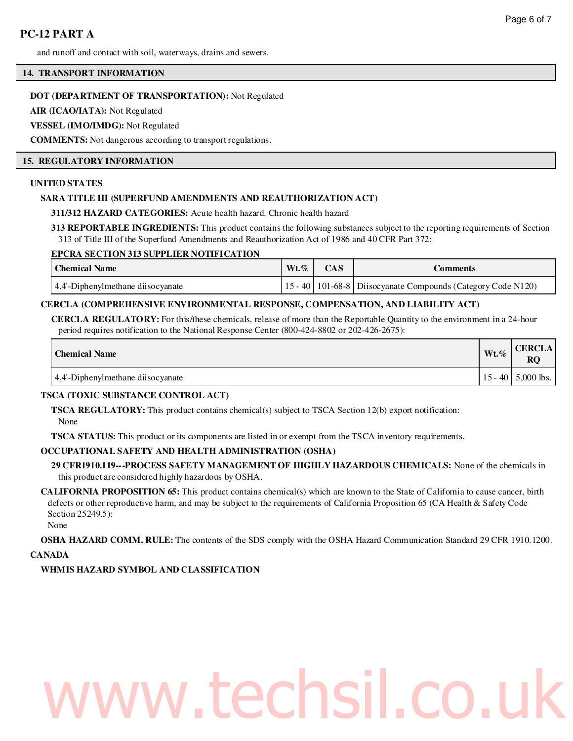and runoff and contact with soil, waterways, drains and sewers.

#### **14. TRANSPORT INFORMATION**

#### **DOT (DEPARTMENT OF TRANSPORTATION):** Not Regulated

**AIR (ICAO/IATA):** Not Regulated

#### **VESSEL (IMO/IMDG):** Not Regulated

**COMMENTS:** Not dangerous according to transport regulations.

#### **15. REGULATORY INFORMATION**

#### **UNITED STATES**

#### **SARA TITLE III (SUPERFUND AMENDMENTS AND REAUTHORIZATION ACT)**

**311/312 HAZARD CATEGORIES:** Acute health hazard. Chronic health hazard

**313 REPORTABLE INGREDIENTS:** This product contains the following substances subject to the reporting requirements of Section 313 of Title III of the Superfund Amendments and Reauthorization Act of 1986 and 40 CFR Part 372:

#### **EPCRA SECTION 313 SUPPLIER NOTIFICATION**

| <b>Chemical Name</b>              | $Wt \%$ | <b>CAS</b> | Comments                                                         |
|-----------------------------------|---------|------------|------------------------------------------------------------------|
| 4,4'-Diphenylmethane diisocyanate |         |            | 15 - 40   101-68-8   Diisocyanate Compounds (Category Code N120) |

#### **CERCLA (COMPREHENSIVE ENVIRONMENTAL RESPONSE, COMPENSATION, AND LIABILITY ACT)**

**CERCLA REGULATORY:** For this/these chemicals, release of more than the Reportable Quantity to the environment in a 24-hour period requires notification to the National Response Center (800-424-8802 or 202-426-2675):

| Chemical Name                     | $Wt.\%$ | <b>CERCLA</b>          |
|-----------------------------------|---------|------------------------|
| 4.4'-Diphenylmethane diisocyanate |         | $15 - 40$   5,000 lbs. |

### **TSCA (TOXIC SUBSTANCE CONTROL ACT)**

**TSCA REGULATORY:** This product contains chemical(s) subject to TSCA Section 12(b) export notification: None

**TSCA STATUS:** This product or its components are listed in or exempt from the TSCA inventory requirements.

#### **OCCUPATIONAL SAFETY AND HEALTH ADMINISTRATION (OSHA)**

**29 CFR1910.119---PROCESS SAFETY MANAGEMENT OF HIGHLY HAZARDOUS CHEMICALS:** None of the chemicals in this product are considered highly hazardous by OSHA.

**CALIFORNIA PROPOSITION 65:** This product contains chemical(s) which are known to the State of California to cause cancer, birth defects or other reproductive harm, and may be subject to the requirements of California Proposition 65 (CA Health & Safety Code Section 25249.5):

None

**OSHA HAZARD COMM. RULE:** The contents of the SDS comply with the OSHA Hazard Communication Standard 29 CFR 1910.1200.

# **CANADA**

# **WHMIS HAZARD SYMBOL AND CLASSIFICATION**

# v.techsil.co.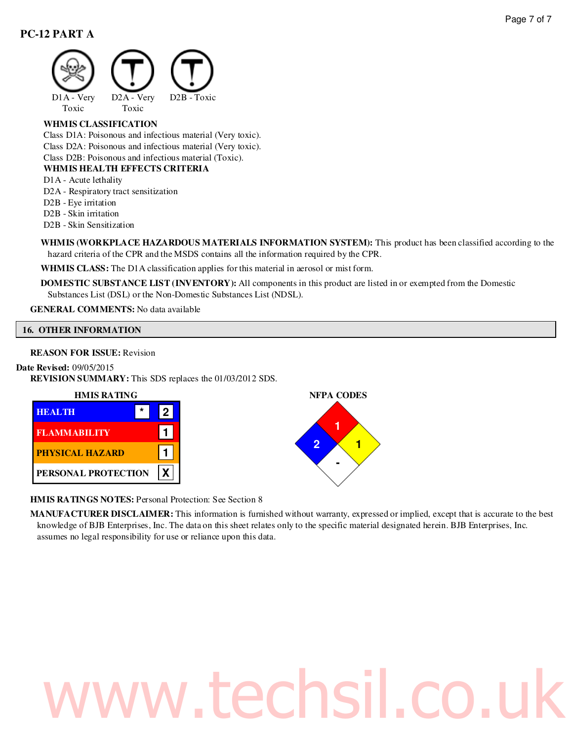

# **WHMIS CLASSIFICATION**

Class D1A: Poisonous and infectious material (Very toxic). Class D2A: Poisonous and infectious material (Very toxic). Class D2B: Poisonous and infectious material (Toxic).

#### **WHMIS HEALTH EFFECTS CRITERIA**

D1A - Acute lethality

D2A - Respiratory tract sensitization

- D2B Eye irritation
- D2B Skin irritation

D2B - Skin Sensitization

**WHMIS (WORKPLACE HAZARDOUS MATERIALS INFORMATION SYSTEM):** This product has been classified according to the hazard criteria of the CPR and the MSDS contains all the information required by the CPR.

**WHMIS CLASS:** The D1A classification applies for this material in aerosol or mist form.

**DOMESTIC SUBSTANCE LIST (INVENTORY):** All components in this product are listed in or exempted from the Domestic Substances List (DSL) or the Non-Domestic Substances List (NDSL).

#### **GENERAL COMMENTS:** No data available

#### **16. OTHER INFORMATION**

#### **REASON FOR ISSUE:** Revision

#### **Date Revised:** 09/05/2015

**REVISION SUMMARY:** This SDS replaces the 01/03/2012 SDS.





**HMIS RATINGS NOTES:** Personal Protection: See Section 8

**MANUFACTURER DISCLAIMER:** This information is furnished without warranty, expressed or implied, except that is accurate to the best knowledge of BJB Enterprises, Inc. The data on this sheet relates only to the specific material designated herein. BJB Enterprises, Inc. assumes no legal responsibility for use or reliance upon this data.

# w.techsil.co.u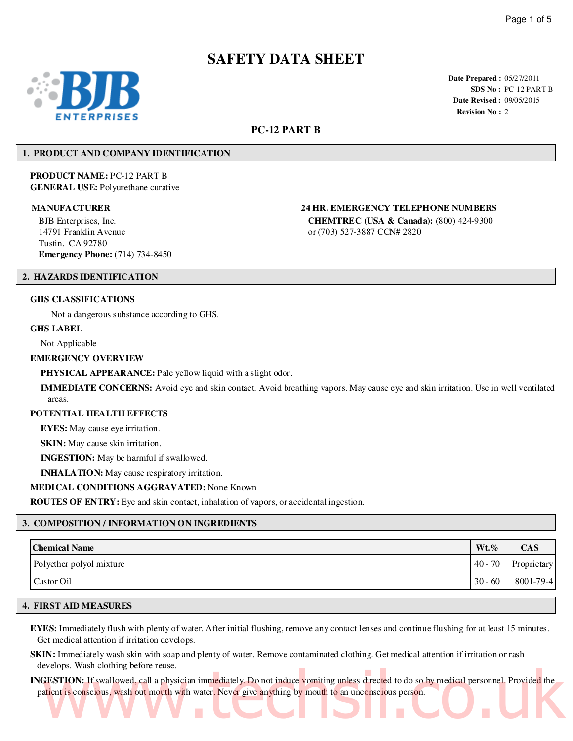# **SAFETY DATA SHEET**



**Date Prepared :** 05/27/2011 **SDS No :** PC-12 PART B **Date Revised :** 09/05/2015 **Revision No :** 2

### **PC-12 PART B**

#### **1. PRODUCT AND COMPANY IDENTIFICATION**

**PRODUCT NAME:** PC-12 PART B **GENERAL USE:** Polyurethane curative

BJB Enterprises, Inc. 14791 Franklin Avenue Tustin, CA 92780 **Emergency Phone:** (714) 734-8450

**MANUFACTURER 24 HR. EMERGENCY TELEPHONE NUMBERS**

**CHEMTREC (USA & Canada):** (800) 424-9300 or (703) 527-3887 CCN# 2820

#### **2. HAZARDS IDENTIFICATION**

#### **GHS CLASSIFICATIONS**

Not a dangerous substance according to GHS.

#### **GHS LABEL**

Not Applicable

#### **EMERGENCY OVERVIEW**

**PHYSICAL APPEARANCE:** Pale yellow liquid with a slight odor.

**IMMEDIATE CONCERNS:** Avoid eye and skin contact. Avoid breathing vapors. May cause eye and skin irritation. Use in well ventilated areas.

#### **POTENTIAL HEALTH EFFECTS**

**EYES:** May cause eye irritation.

**SKIN:** May cause skin irritation.

**INGESTION:** May be harmful if swallowed.

**INHALATION:** May cause respiratory irritation.

#### **MEDICAL CONDITIONS AGGRAVATED:** None Known

**ROUTES OF ENTRY:** Eye and skin contact, inhalation of vapors, or accidental ingestion.

#### **3. COMPOSITION / INFORMATION ON INGREDIENTS**

| <b>Chemical Name</b>     | $Wt.\%$   | <b>CAS</b>      |
|--------------------------|-----------|-----------------|
| Polyether polyol mixture | $40 - 70$ | Proprietary     |
| Castor Oil               | $30 - 60$ | $8001 - 79 - 4$ |

#### **4. FIRST AID MEASURES**

**EYES:** Immediately flush with plenty of water. After initial flushing, remove any contact lenses and continue flushing for at least 15 minutes. Get medical attention if irritation develops.

- **SKIN:** Immediately wash skin with soap and plenty of water. Remove contaminated clothing. Get medical attention if irritation or rash develops. Wash clothing before reuse.
- **INGESTION:** If swallowed, call a physician immediately. Do not induce vomiting unless directed to do so by medical personnel. Provided the patient is conscious, wash out mouth with water. Never give anything by mouth to an unconscious person. FESTION: If swallowed, call a physician immediately. Do not induce vomiting unless directed to do so by medical personnel. Provided the trient is conscious, wash out mouth with water. Never give anything by mouth to an unc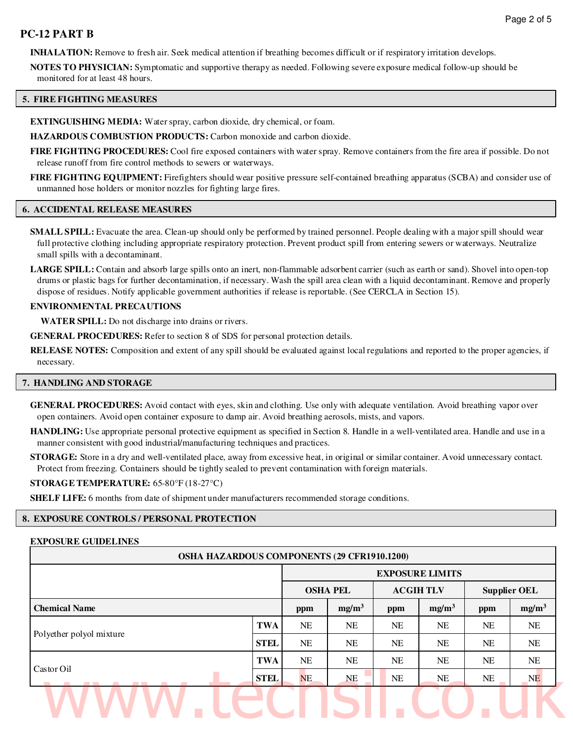**INHALATION:** Remove to fresh air. Seek medical attention if breathing becomes difficult or if respiratory irritation develops.

**NOTES TO PHYSICIAN:** Symptomatic and supportive therapy as needed. Following severe exposure medical follow-up should be monitored for at least 48 hours.

#### **5. FIRE FIGHTING MEASURES**

**EXTINGUISHING MEDIA:** Water spray, carbon dioxide, dry chemical, or foam.

**HAZARDOUS COMBUSTION PRODUCTS:** Carbon monoxide and carbon dioxide.

**FIRE FIGHTING PROCEDURES:** Cool fire exposed containers with water spray. Remove containers from the fire area if possible. Do not release runoff from fire control methods to sewers or waterways.

**FIRE FIGHTING EQUIPMENT:** Firefighters should wear positive pressure self-contained breathing apparatus (SCBA) and consider use of unmanned hose holders or monitor nozzles for fighting large fires.

#### **6. ACCIDENTAL RELEASE MEASURES**

**SMALL SPILL:** Evacuate the area. Clean-up should only be performed by trained personnel. People dealing with a major spill should wear full protective clothing including appropriate respiratory protection. Prevent product spill from entering sewers or waterways. Neutralize small spills with a decontaminant.

**LARGE SPILL:** Contain and absorb large spills onto an inert, non-flammable adsorbent carrier (such as earth or sand). Shovel into open-top drums or plastic bags for further decontamination, if necessary. Wash the spill area clean with a liquid decontaminant. Remove and properly dispose of residues. Notify applicable government authorities if release is reportable. (See CERCLA in Section 15).

#### **ENVIRONMENTAL PRECAUTIONS**

**WATER SPILL:** Do not discharge into drains or rivers.

**GENERAL PROCEDURES:** Refer to section 8 of SDS for personal protection details.

**RELEASE NOTES:** Composition and extent of any spill should be evaluated against local regulations and reported to the proper agencies, if necessary.

#### **7. HANDLING AND STORAGE**

**GENERAL PROCEDURES:** Avoid contact with eyes, skin and clothing. Use only with adequate ventilation. Avoid breathing vapor over open containers. Avoid open container exposure to damp air. Avoid breathing aerosols, mists, and vapors.

**HANDLING:** Use appropriate personal protective equipment as specified in Section 8. Handle in a well-ventilated area. Handle and use in a manner consistent with good industrial/manufacturing techniques and practices.

**STORAGE:** Store in a dry and well-ventilated place, away from excessive heat, in original or similar container. Avoid unnecessary contact. Protect from freezing. Containers should be tightly sealed to prevent contamination with foreign materials.

#### **STORAGE TEMPERATURE:** 65-80°F (18-27°C)

**SHELF LIFE:** 6 months from date of shipment under manufacturers recommended storage conditions.

#### **8. EXPOSURE CONTROLS / PERSONAL PROTECTION**

#### **EXPOSURE GUIDELINES**

| <b>OSHA HAZARDOUS COMPONENTS (29 CFR1910.1200)</b> |             |                        |                   |                 |                   |                     |                   |  |
|----------------------------------------------------|-------------|------------------------|-------------------|-----------------|-------------------|---------------------|-------------------|--|
|                                                    |             | <b>EXPOSURE LIMITS</b> |                   |                 |                   |                     |                   |  |
|                                                    |             | <b>OSHA PEL</b>        |                   | <b>ACGIHTLV</b> |                   | <b>Supplier OEL</b> |                   |  |
| <b>Chemical Name</b>                               |             | ppm                    | mg/m <sup>3</sup> | ppm             | mg/m <sup>3</sup> | ppm                 | mg/m <sup>3</sup> |  |
| Polyether polyol mixture                           | <b>TWA</b>  | <b>NE</b>              | <b>NE</b>         | NE              | NE                | <b>NE</b>           | NE.               |  |
|                                                    | <b>STEL</b> | <b>NE</b>              | <b>NE</b>         | NE              | NE                | <b>NE</b>           | NE.               |  |
| Castor Oil                                         | <b>TWA</b>  | <b>NE</b>              | <b>NE</b>         | <b>NE</b>       | NE                | <b>NE</b>           | NE.               |  |
|                                                    | <b>STEL</b> | NE                     | NE                | NE              | NE                | <b>NE</b>           | NE                |  |
|                                                    |             |                        |                   |                 |                   |                     |                   |  |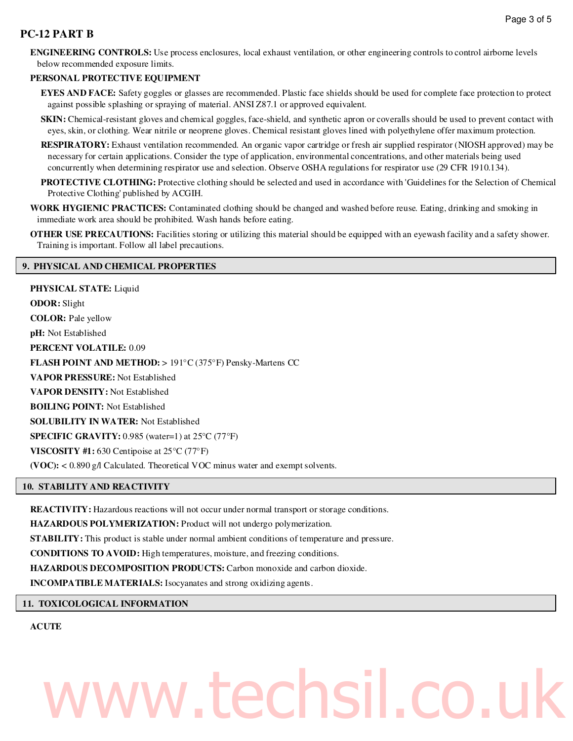**ENGINEERING CONTROLS:** Use process enclosures, local exhaust ventilation, or other engineering controls to control airborne levels below recommended exposure limits.

#### **PERSONAL PROTECTIVE EQUIPMENT**

**EYES AND FACE:** Safety goggles or glasses are recommended. Plastic face shields should be used for complete face protection to protect against possible splashing or spraying of material. ANSI Z87.1 or approved equivalent.

- **SKIN:** Chemical-resistant gloves and chemical goggles, face-shield, and synthetic apron or coveralls should be used to prevent contact with eyes, skin, or clothing. Wear nitrile or neoprene gloves. Chemical resistant gloves lined with polyethylene offer maximum protection.
- **RESPIRATORY:** Exhaust ventilation recommended. An organic vapor cartridge or fresh air supplied respirator (NIOSH approved) may be necessary for certain applications. Consider the type of application, environmental concentrations, and other materials being used concurrently when determining respirator use and selection. Observe OSHA regulations for respirator use (29 CFR 1910.134).
- **PROTECTIVE CLOTHING:** Protective clothing should be selected and used in accordance with 'Guidelines for the Selection of Chemical Protective Clothing' published by ACGIH.
- **WORK HYGIENIC PRACTICES:** Contaminated clothing should be changed and washed before reuse. Eating, drinking and smoking in immediate work area should be prohibited. Wash hands before eating.

**OTHER USE PRECAUTIONS:** Facilities storing or utilizing this material should be equipped with an eyewash facility and a safety shower. Training is important. Follow all label precautions.

#### **9. PHYSICAL AND CHEMICAL PROPERTIES**

**PHYSICAL STATE:** Liquid **ODOR:** Slight **COLOR:** Pale yellow **pH:** Not Established **PERCENT VOLATILE:** 0.09 **FLASH POINT AND METHOD:** > 191°C (375°F) Pensky-Martens CC **VAPOR PRESSURE:** Not Established **VAPOR DENSITY:** Not Established **BOILING POINT:** Not Established **SOLUBILITY IN WATER:** Not Established **SPECIFIC GRAVITY:** 0.985 (water=1) at 25°C (77°F) **VISCOSITY #1:** 630 Centipoise at 25°C (77°F) **(VOC):** < 0.890 g/l Calculated. Theoretical VOC minus water and exempt solvents.

#### **10. STABILITY AND REACTIVITY**

**REACTIVITY:** Hazardous reactions will not occur under normal transport or storage conditions.

**HAZARDOUS POLYMERIZATION:** Product will not undergo polymerization.

**STABILITY:** This product is stable under normal ambient conditions of temperature and pressure.

**CONDITIONS TO AVOID:** High temperatures, moisture, and freezing conditions.

**HAZARDOUS DECOMPOSITION PRODUCTS:** Carbon monoxide and carbon dioxide.

**INCOMPATIBLE MATERIALS:** Isocyanates and strong oxidizing agents.

#### **11. TOXICOLOGICAL INFORMATION**

#### **ACUTE**

# ww.techsil.co.u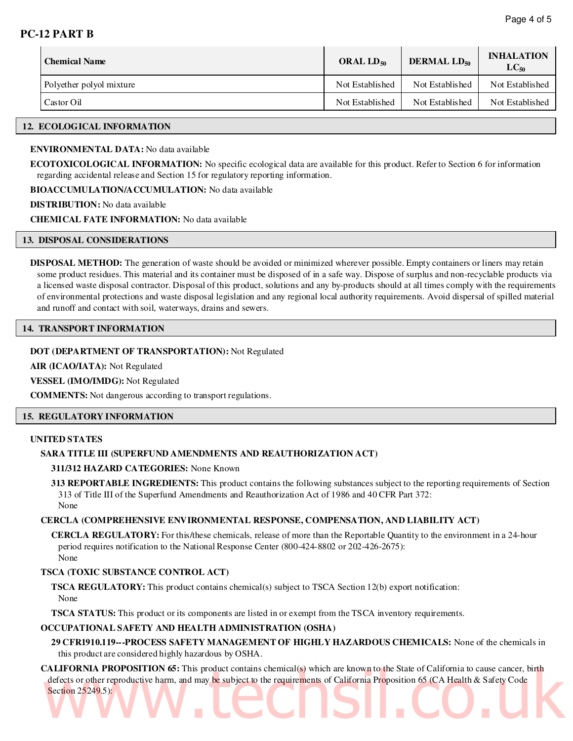| <b>Chemical Name</b>     | ORAL $LD_{50}$  | <b>DERMAL LD<sub>50</sub></b> |                 |  |
|--------------------------|-----------------|-------------------------------|-----------------|--|
| Polyether polyol mixture | Not Established | Not Established               | Not Established |  |
| Castor Oil               | Not Established | Not Established               | Not Established |  |

#### **12. ECOLOGICAL INFORMATION**

#### **ENVIRONMENTAL DATA:** No data available

**ECOTOXICOLOGICAL INFORMATION:** No specific ecological data are available for this product. Refer to Section 6 for information regarding accidental release and Section 15 for regulatory reporting information.

**BIOACCUMULATION/ACCUMULATION:** No data available

**DISTRIBUTION:** No data available

**CHEMICAL FATE INFORMATION:** No data available

#### **13. DISPOSAL CONSIDERATIONS**

**DISPOSAL METHOD:** The generation of waste should be avoided or minimized wherever possible. Empty containers or liners may retain some product residues. This material and its container must be disposed of in a safe way. Dispose of surplus and non-recyclable products via a licensed waste disposal contractor. Disposal of this product, solutions and any by-products should at all times comply with the requirements of environmental protections and waste disposal legislation and any regional local authority requirements. Avoid dispersal of spilled material and runoff and contact with soil, waterways, drains and sewers.

#### **14. TRANSPORT INFORMATION**

#### **DOT (DEPARTMENT OF TRANSPORTATION):** Not Regulated

**AIR (ICAO/IATA):** Not Regulated

**VESSEL (IMO/IMDG):** Not Regulated

**COMMENTS:** Not dangerous according to transport regulations.

#### **15. REGULATORY INFORMATION**

#### **UNITED STATES**

#### **SARA TITLE III (SUPERFUND AMENDMENTS AND REAUTHORIZATION ACT)**

**311/312 HAZARD CATEGORIES:** None Known

**313 REPORTABLE INGREDIENTS:** This product contains the following substances subject to the reporting requirements of Section 313 of Title III of the Superfund Amendments and Reauthorization Act of 1986 and 40 CFR Part 372: None

#### **CERCLA (COMPREHENSIVE ENVIRONMENTAL RESPONSE, COMPENSATION, AND LIABILITY ACT)**

**CERCLA REGULATORY:** For this/these chemicals, release of more than the Reportable Quantity to the environment in a 24-hour period requires notification to the National Response Center (800-424-8802 or 202-426-2675): None

#### **TSCA (TOXIC SUBSTANCE CONTROL ACT)**

**TSCA REGULATORY:** This product contains chemical(s) subject to TSCA Section 12(b) export notification: None

**TSCA STATUS:** This product or its components are listed in or exempt from the TSCA inventory requirements.

#### **OCCUPATIONAL SAFETY AND HEALTH ADMINISTRATION (OSHA)**

**29 CFR1910.119---PROCESS SAFETY MANAGEMENT OF HIGHLY HAZARDOUS CHEMICALS:** None of the chemicals in this product are considered highly hazardous by OSHA.

**CALIFORNIA PROPOSITION 65:** This product contains chemical(s) which are known to the State of California to cause cancer, birth defects or other reproductive harm, and may be subject to the requirements of California Proposition 65 (CA Health & Safety Code<br>Section 25249.5): Section 25249.5):